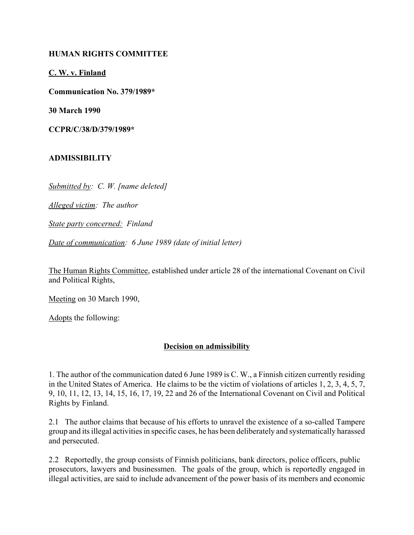## **HUMAN RIGHTS COMMITTEE**

**C. W. v. Finland**

**Communication No. 379/1989\***

**30 March 1990**

**CCPR/C/38/D/379/1989\***

## **ADMISSIBILITY**

*Submitted by: C. W. [name deleted]*

*Alleged victim: The author*

*State party concerned: Finland*

*Date of communication: 6 June 1989 (date of initial letter)*

The Human Rights Committee, established under article 28 of the international Covenant on Civil and Political Rights,

Meeting on 30 March 1990,

Adopts the following:

## **Decision on admissibility**

1. The author of the communication dated 6 June 1989 is C. W., a Finnish citizen currently residing in the United States of America. He claims to be the victim of violations of articles 1, 2, 3, 4, 5, 7, 9, 10, 11, 12, 13, 14, 15, 16, 17, 19, 22 and 26 of the International Covenant on Civil and Political Rights by Finland.

2.1 The author claims that because of his efforts to unravel the existence of a so-called Tampere group and its illegal activities in specific cases, he has been deliberately and systematically harassed and persecuted.

2.2 Reportedly, the group consists of Finnish politicians, bank directors, police officers, public prosecutors, lawyers and businessmen. The goals of the group, which is reportedly engaged in illegal activities, are said to include advancement of the power basis of its members and economic